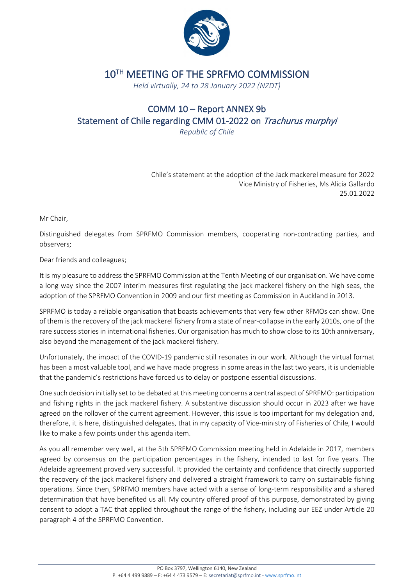

## 10TH MEETING OF THE SPRFMO COMMISSION

*Held virtually, 24 to 28 January 2022 (NZDT)*

## COMM 10 – Report ANNEX 9b Statement of Chile regarding CMM 01-2022 on Trachurus murphyi

*Republic of Chile*

Chile's statement at the adoption of the Jack mackerel measure for 2022 Vice Ministry of Fisheries, Ms Alicia Gallardo 25.01.2022

Mr Chair,

Distinguished delegates from SPRFMO Commission members, cooperating non-contracting parties, and observers;

Dear friends and colleagues;

It is my pleasure to address the SPRFMO Commission at the Tenth Meeting of our organisation. We have come a long way since the 2007 interim measures first regulating the jack mackerel fishery on the high seas, the adoption of the SPRFMO Convention in 2009 and our first meeting as Commission in Auckland in 2013.

SPRFMO is today a reliable organisation that boasts achievements that very few other RFMOs can show. One of them is the recovery of the jack mackerel fishery from a state of near-collapse in the early 2010s, one of the rare success stories in international fisheries. Our organisation has much to show close to its 10th anniversary, also beyond the management of the jack mackerel fishery.

Unfortunately, the impact of the COVID-19 pandemic still resonates in our work. Although the virtual format has been a most valuable tool, and we have made progress in some areas in the last two years, it is undeniable that the pandemic's restrictions have forced us to delay or postpone essential discussions.

One such decision initially set to be debated at this meeting concerns a central aspect of SPRFMO: participation and fishing rights in the jack mackerel fishery. A substantive discussion should occur in 2023 after we have agreed on the rollover of the current agreement. However, this issue is too important for my delegation and, therefore, it is here, distinguished delegates, that in my capacity of Vice-ministry of Fisheries of Chile, I would like to make a few points under this agenda item.

As you all remember very well, at the 5th SPRFMO Commission meeting held in Adelaide in 2017, members agreed by consensus on the participation percentages in the fishery, intended to last for five years. The Adelaide agreement proved very successful. It provided the certainty and confidence that directly supported the recovery of the jack mackerel fishery and delivered a straight framework to carry on sustainable fishing operations. Since then, SPRFMO members have acted with a sense of long-term responsibility and a shared determination that have benefited us all. My country offered proof of this purpose, demonstrated by giving consent to adopt a TAC that applied throughout the range of the fishery, including our EEZ under Article 20 paragraph 4 of the SPRFMO Convention.